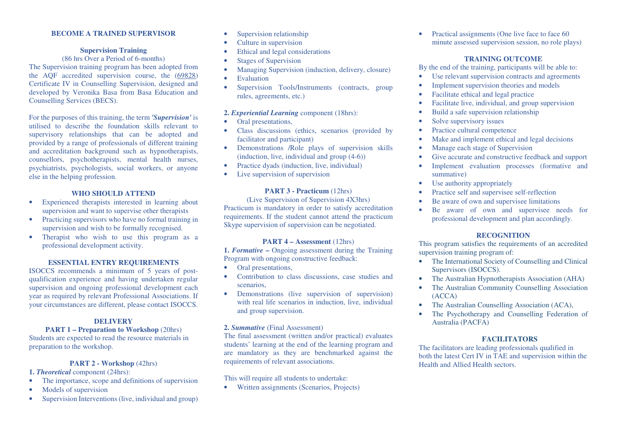#### **BECOME A TRAINED SUPERVISOR**

#### **Supervision Training**

#### (86 hrs Over a Period of 6-months)

 The Supervision training program has been adopted from the AQF accredited supervision course, the (69828) Certificate IV in Counselling Supervision, designed and developed by Veronika Basa from Basa Education and Counselling Services (BECS).

For the purposes of this training, the term *'Supervision'* is utilised to describe the foundation skills relevant to supervisory relationships that can be adopted and provided by a range of professionals of different training and accreditation background such as hypnotherapists, counsellors, psychotherapists, mental health nurses, psychiatrists, psychologists, social workers, or anyone else in the helping profession.

#### **WHO SHOULD ATTEND**

- • Experienced therapists interested in learning about supervision and want to supervise other therapists
- Practicing supervisors who have no formal training in •supervision and wish to be formally recognised.
- Therapist who wish to use this program as a •professional development activity.

#### **ESSENTIAL ENTRY REQUIREMENTS**

 ISOCCS recommends a minimum of 5 years of postqualification experience and having undertaken regular supervision and ongoing professional development each year as required by relevant Professional Associations. If your circumstances are different, please contact ISOCCS.

## **DELIVERY**

#### **PART 1 – Preparation to Workshop** (20hrs)

 Students are expected to read the resource materials in preparation to the workshop.

#### **PART 2 - Workshop** (42hrs)

**1.** *Theoretical* component (24hrs):

- •The importance, scope and definitions of supervision
- •Models of supervision
- •Supervision Interventions (live, individual and group)
- •Supervision relationship
- •Culture in supervision
- •Ethical and legal considerations
- •Stages of Supervision
- •Managing Supervision (induction, delivery, closure)
- •Evaluation
- • Supervision Tools/Instruments (contracts, group rules, agreements, etc.)

# **2.** *Experiential Learning* componen<sup>t</sup> (18hrs):

- •Oral presentations,
- Class discussions (ethics, scenarios (provided by facilitator and participant)
- Demonstrations /Role plays of supervision skills (induction, live, individual and group (4-6))
- Practice dyads (induction, live, individual)
- •Live supervision of supervision

## **PART 3 - Practicum** (12hrs)

 (Live Supervision of Supervision 4X3hrs) Practicum is mandatory in order to satisfy accreditation requirements. If the student cannot attend the practicum Skype supervision of supervision can be negotiated.

#### **PART 4 – Assessment** (12hrs)

 **1.** *Formative* **–** Ongoing assessment during the Training Program with ongoing constructive feedback:

- •Oral presentations,
- Contribution to class discussions, case studies andscenarios,
- Demonstrations (live supervision of supervision) with real life scenarios in induction, live, individual and group supervision.

## **2.** *Summative* (Final Assessment)

The final assessment (written and/or practical) evaluates students' learning at the end of the learning program and are mandatory as they are benchmarked against the requirements of relevant associations.

#### This will require all students to undertake:

• Written assignments (Scenarios, Projects)

• Practical assignments (One live face to face 60 minute assessed supervision session, no role plays)

## **TRAINING OUTCOME**

By the end of the training, participants will be able to:

- Use relevant supervision contracts and agreements •
- •Implement supervision theories and models
- •Facilitate ethical and legal practice
- •Facilitate live, individual, and group supervision
- •Build a safe supervision relationship
- •Solve supervisory issues
- •Practice cultural competence
- •Make and implement ethical and legal decisions
- •Manage each stage of Supervision
- •Give accurate and constructive feedback and support
- • Implement evaluation processes (formative and summative)
- Use authority appropriately •
- •Practice self and supervisee self-reflection
- •Be aware of own and supervisee limitations
- • Be aware of own and supervisee needs for professional development and plan accordingly.

### **RECOGNITION**

 This program satisfies the requirements of an accredited supervision training program of:

- The International Society of Counselling and Clinical Supervisors (ISOCCS).
- The Australian Hypnotherapists Association (AHA) •
- • The Australian Community Counselling Association (ACCA)
- The Australian Counselling Association (ACA),
- • The Psychotherapy and Counselling Federation of Australia (PACFA)

#### **FACILITATORS**

 The facilitators are leading professionals qualified in both the latest Cert IV in TAE and supervision within the Health and Allied Health sectors.